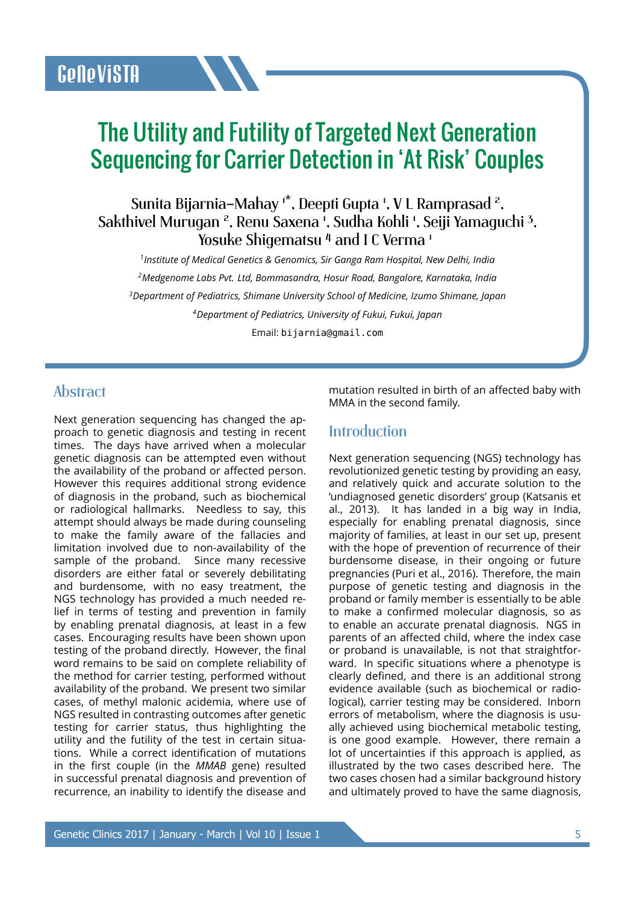# The Utility and Futility of Targeted Next Generation Sequencing for Carrier Detection in 'At Risk' Couples

Sunita Bijarnia–Mahay 1\*, Deepti Gupta <sup>1</sup>, V L Ramprasad <sup>2</sup> , Sakthivel Murugan <sup>2</sup>, Renu Saxena <sup>1</sup>, Sudha Kohli <sup>1</sup>, Seiji Yamaguchi <sup>3</sup> , Yosuke Shigematsu<sup>4</sup> and I C Verma<sup>1</sup>

 *Institute of Medical Genetics & Genomics, Sir Ganga Ram Hospital, New Delhi, India Medgenome Labs Pvt. Ltd, Bommasandra, Hosur Road, Bangalore, Karnataka, India Department of Pediatrics, Shimane University School of Medicine, Izumo Shimane, Japan Department of Pediatrics, University of Fukui, Fukui, Japan*

Email: bijarnia@gmail.com

## **Abstract**

Next generation sequencing has changed the approach to genetic diagnosis and testing in recent times. The days have arrived when a molecular genetic diagnosis can be attempted even without the availability of the proband or affected person. However this requires additional strong evidence of diagnosis in the proband, such as biochemical or radiological hallmarks. Needless to say, this attempt should always be made during counseling to make the family aware of the fallacies and limitation involved due to non-availability of the sample of the proband. Since many recessive disorders are either fatal or severely debilitating and burdensome, with no easy treatment, the NGS technology has provided a much needed relief in terms of testing and prevention in family by enabling prenatal diagnosis, at least in a few cases. Encouraging results have been shown upon testing of the proband directly. However, the final word remains to be said on complete reliability of the method for carrier testing, performed without availability of the proband. We present two similar cases, of methyl malonic acidemia, where use of NGS resulted in contrasting outcomes after genetic testing for carrier status, thus highlighting the utility and the futility of the test in certain situations. While a correct identification of mutations in the first couple (in the *MMAB* gene) resulted in successful prenatal diagnosis and prevention of recurrence, an inability to identify the disease and

mutation resulted in birth of an affected baby with MMA in the second family.

## **Introduction**

Next generation sequencing (NGS) technology has revolutionized genetic testing by providing an easy, and relatively quick and accurate solution to the 'undiagnosed genetic disorders' group (Katsanis et al., 2013). It has landed in a big way in India, especially for enabling prenatal diagnosis, since majority of families, at least in our set up, present with the hope of prevention of recurrence of their burdensome disease, in their ongoing or future pregnancies (Puri et al., 2016). Therefore, the main purpose of genetic testing and diagnosis in the proband or family member is essentially to be able to make a confirmed molecular diagnosis, so as to enable an accurate prenatal diagnosis. NGS in parents of an affected child, where the index case or proband is unavailable, is not that straightforward. In specific situations where a phenotype is clearly defined, and there is an additional strong evidence available (such as biochemical or radiological), carrier testing may be considered. Inborn errors of metabolism, where the diagnosis is usually achieved using biochemical metabolic testing, is one good example. However, there remain a lot of uncertainties if this approach is applied, as illustrated by the two cases described here. The two cases chosen had a similar background history and ultimately proved to have the same diagnosis,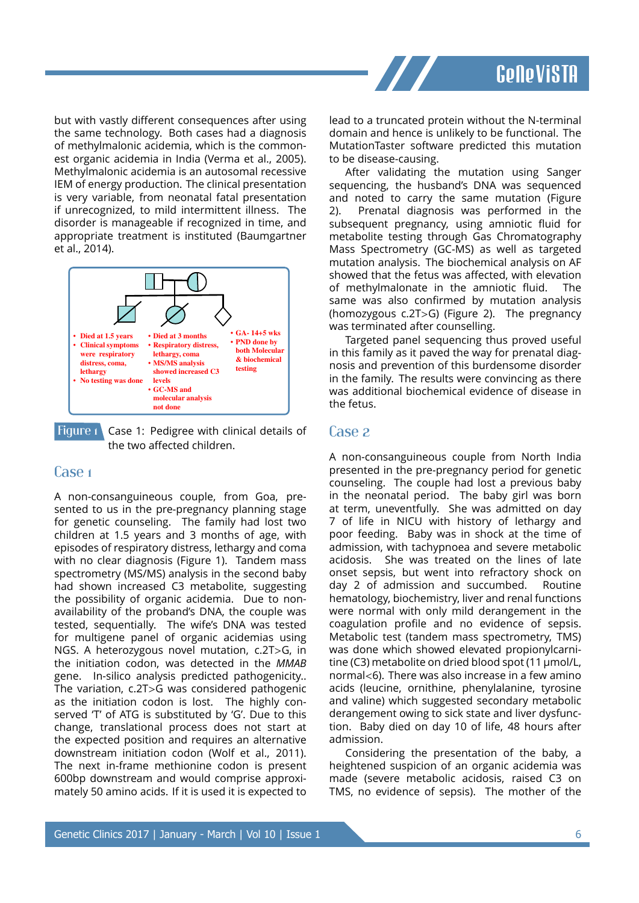

but with vastly different consequences after using the same technology. Both cases had a diagnosis of methylmalonic acidemia, which is the commonest organic acidemia in India (Verma et al., 2005). Methylmalonic acidemia is an autosomal recessive IEM of energy production. The clinical presentation is very variable, from neonatal fatal presentation if unrecognized, to mild intermittent illness. The disorder is manageable if recognized in time, and appropriate treatment is instituted (Baumgartner et al., 2014).



Figure 1 Case 1: Pedigree with clinical details of the two affected children.

#### Case 1

A non-consanguineous couple, from Goa, presented to us in the pre-pregnancy planning stage for genetic counseling. The family had lost two children at 1.5 years and 3 months of age, with episodes of respiratory distress, lethargy and coma with no clear diagnosis (Figure 1). Tandem mass spectrometry (MS/MS) analysis in the second baby had shown increased C3 metabolite, suggesting the possibility of organic acidemia. Due to nonavailability of the proband's DNA, the couple was tested, sequentially. The wife's DNA was tested for multigene panel of organic acidemias using NGS. A heterozygous novel mutation, c.2T>G, in the initiation codon, was detected in the *MMAB* gene. In-silico analysis predicted pathogenicity.. The variation, c.2T>G was considered pathogenic as the initiation codon is lost. The highly conserved 'T' of ATG is substituted by 'G'. Due to this change, translational process does not start at the expected position and requires an alternative downstream initiation codon (Wolf et al., 2011). The next in-frame methionine codon is present 600bp downstream and would comprise approximately 50 amino acids. If it is used it is expected to

lead to a truncated protein without the N-terminal domain and hence is unlikely to be functional. The MutationTaster software predicted this mutation to be disease-causing.

After validating the mutation using Sanger sequencing, the husband's DNA was sequenced and noted to carry the same mutation (Figure 2). Prenatal diagnosis was performed in the subsequent pregnancy, using amniotic fluid for metabolite testing through Gas Chromatography Mass Spectrometry (GC-MS) as well as targeted mutation analysis. The biochemical analysis on AF showed that the fetus was affected, with elevation of methylmalonate in the amniotic fluid. The same was also confirmed by mutation analysis (homozygous c.2T>G) (Figure 2). The pregnancy was terminated after counselling.

Targeted panel sequencing thus proved useful in this family as it paved the way for prenatal diagnosis and prevention of this burdensome disorder in the family. The results were convincing as there was additional biochemical evidence of disease in the fetus.

#### Case 2

A non-consanguineous couple from North India presented in the pre-pregnancy period for genetic counseling. The couple had lost a previous baby in the neonatal period. The baby girl was born at term, uneventfully. She was admitted on day 7 of life in NICU with history of lethargy and poor feeding. Baby was in shock at the time of admission, with tachypnoea and severe metabolic acidosis. She was treated on the lines of late onset sepsis, but went into refractory shock on day 2 of admission and succumbed. Routine hematology, biochemistry, liver and renal functions were normal with only mild derangement in the coagulation profile and no evidence of sepsis. Metabolic test (tandem mass spectrometry, TMS) was done which showed elevated propionylcarnitine (C3) metabolite on dried blood spot (11 µmol/L, normal<6). There was also increase in a few amino acids (leucine, ornithine, phenylalanine, tyrosine and valine) which suggested secondary metabolic derangement owing to sick state and liver dysfunction. Baby died on day 10 of life, 48 hours after admission.

Considering the presentation of the baby, a heightened suspicion of an organic acidemia was made (severe metabolic acidosis, raised C3 on TMS, no evidence of sepsis). The mother of the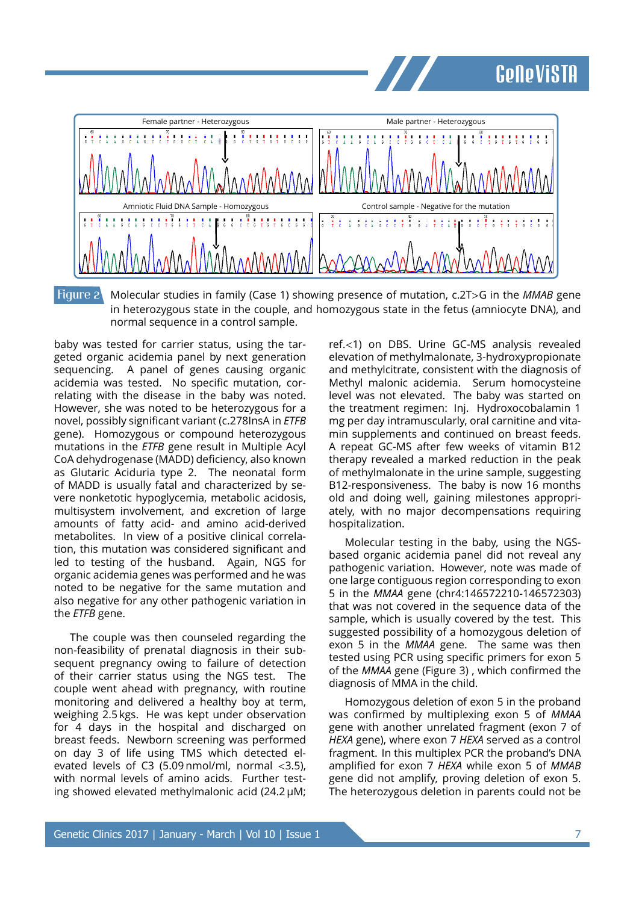## **Genevista**



Figure 2 Molecular studies in family (Case 1) showing presence of mutation, c.2T>G in the *MMAB* gene in heterozygous state in the couple, and homozygous state in the fetus (amniocyte DNA), and normal sequence in a control sample.

baby was tested for carrier status, using the targeted organic acidemia panel by next generation sequencing. A panel of genes causing organic acidemia was tested. No specific mutation, correlating with the disease in the baby was noted. However, she was noted to be heterozygous for a novel, possibly signiȴcant variant (c.278InsA in *ETFB* gene). Homozygous or compound heterozygous mutations in the *ETFB* gene result in Multiple Acyl CoA dehydrogenase (MADD) deficiency, also known as Glutaric Aciduria type 2. The neonatal form of MADD is usually fatal and characterized by severe nonketotic hypoglycemia, metabolic acidosis, multisystem involvement, and excretion of large amounts of fatty acid- and amino acid-derived metabolites. In view of a positive clinical correlation, this mutation was considered significant and led to testing of the husband. Again, NGS for organic acidemia genes was performed and he was noted to be negative for the same mutation and also negative for any other pathogenic variation in the *ETFB* gene.

The couple was then counseled regarding the non-feasibility of prenatal diagnosis in their subsequent pregnancy owing to failure of detection of their carrier status using the NGS test. The couple went ahead with pregnancy, with routine monitoring and delivered a healthy boy at term, weighing 2.5 kgs. He was kept under observation for 4 days in the hospital and discharged on breast feeds. Newborn screening was performed on day 3 of life using TMS which detected elevated levels of C3 (5.09 nmol/ml, normal <3.5), with normal levels of amino acids. Further testing showed elevated methylmalonic acid (24.2 µM;

ref.<1) on DBS. Urine GC-MS analysis revealed elevation of methylmalonate, 3-hydroxypropionate and methylcitrate, consistent with the diagnosis of Methyl malonic acidemia. Serum homocysteine level was not elevated. The baby was started on the treatment regimen: Inj. Hydroxocobalamin 1 mg per day intramuscularly, oral carnitine and vitamin supplements and continued on breast feeds. A repeat GC-MS after few weeks of vitamin B12 therapy revealed a marked reduction in the peak of methylmalonate in the urine sample, suggesting B12-responsiveness. The baby is now 16 months old and doing well, gaining milestones appropriately, with no major decompensations requiring hospitalization.

Molecular testing in the baby, using the NGSbased organic acidemia panel did not reveal any pathogenic variation. However, note was made of one large contiguous region corresponding to exon 5 in the *MMAA* gene (chr4:146572210-146572303) that was not covered in the sequence data of the sample, which is usually covered by the test. This suggested possibility of a homozygous deletion of exon 5 in the *MMAA* gene. The same was then tested using PCR using specific primers for exon 5 of the *MMAA* gene (Figure 3), which confirmed the diagnosis of MMA in the child.

Homozygous deletion of exon 5 in the proband was confirmed by multiplexing exon 5 of *MMAA* gene with another unrelated fragment (exon 7 of *HEXA* gene), where exon 7 *HEXA* served as a control fragment. In this multiplex PCR the proband's DNA amplified for exon 7 HEXA while exon 5 of MMAB gene did not amplify, proving deletion of exon 5. The heterozygous deletion in parents could not be